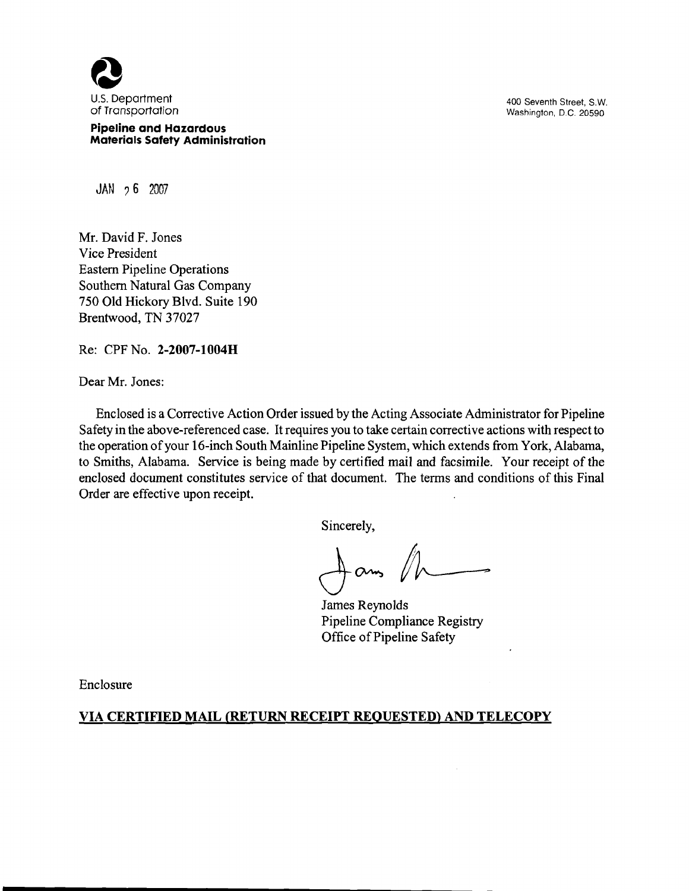

**Pipeline and Hazardous Materials Safety Administration**  Washington, D.C. 20590

**JAN 7 6** 2007

Mr. David F. Jones Vice President Eastern Pipeline Operations Southern Natural Gas Company 750 Old Hickory Blvd. Suite 190 Brentwood, TN 37027

Re: CPF No. **2-2007-1004H** 

Dear Mr. Jones:

Enclosed is a Corrective Action Order issued by the Acting Associate Administrator for Pipeline Safety in the above-referenced case. It requires you to take certain corrective actions with respect to the operation of your 16-inch South Mainline Pipeline System, which extends from York, Alabama, to Smiths, Alabama. Service is being made by certified mail and facsimile. Your receipt of the enclosed document constitutes service of that document. The terms and conditions of this Final Order are effective upon receipt.

Sincerely,

James Reynolds Pipeline Compliance Registry Office of Pipeline Safety

Enclosure

## **VIA CERTIFIED MAIL (RETURN RECEIPT REQUESTED) AND TELECOPY**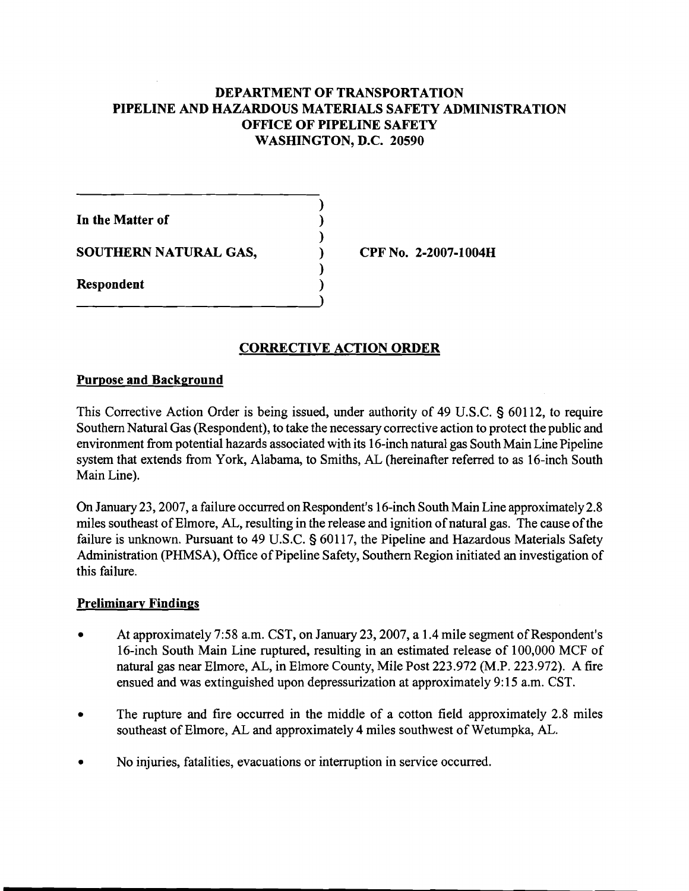# **DEPARTMENT OF TRANSPORTATION PIPELINE AND HAZARDOUS MATERIALS SAFETY ADMINISTRATION OFFICE OF PIPELINE SAFETY WASHINGTON, D.C. 20590**

**1**  In the Matter of **1 SOUTHERN NATURAL GAS,**  $\qquad \qquad$  **(PF No. 2-2007-1004H) 1 Respondent** 

# **CORRECTIVE ACTION ORDER**

### **Purpose and Background**

This Corrective Action Order is being issued, under authority of 49 U.S.C. **3** 601 12, to require Southern Natural Gas (Respondent), to take the necessary corrective action to protect the public and environment from potential hazards associated with its 16-inch natural gas South Main Line Pipeline system that extends from York, Alabama, to Smiths, AL (hereinafter referred to as 16-inch South Main Line).

On January 23,2007, a failure occurred on Respondent's 16-inch South Main Line approximately 2.8 miles southeast of Elmore, AL, resulting in the release and ignition of natural gas. The cause of the failure is unknown. Pursuant to 49 U.S.C. **3** 601 17, the Pipeline and Hazardous Materials Safety Administration (PHMSA), Office of Pipeline Safety, Southern Region initiated **an** investigation of this failure.

### **Preliminary Findings**

- At approximately 7:58 a.m. CST, on January 23, 2007, a 1.4 mile segment of Respondent's 16-inch South Main Line ruptured, resulting in an estimated release of 100,000 MCF of natural gas near Elmore, AL, in Elmore County, Mile Post 223.972 (M.P. 223.972). A fire ensued and was extinguished upon depressurization at approximately 9: 15 a.m. CST.
- The rupture and fire occurred in the middle of a cotton field approximately 2.8 miles southeast of Elmore, AL and approximately 4 miles southwest of Wetumpka, AL.
- No injuries, fatalities, evacuations or interruption in service occurred.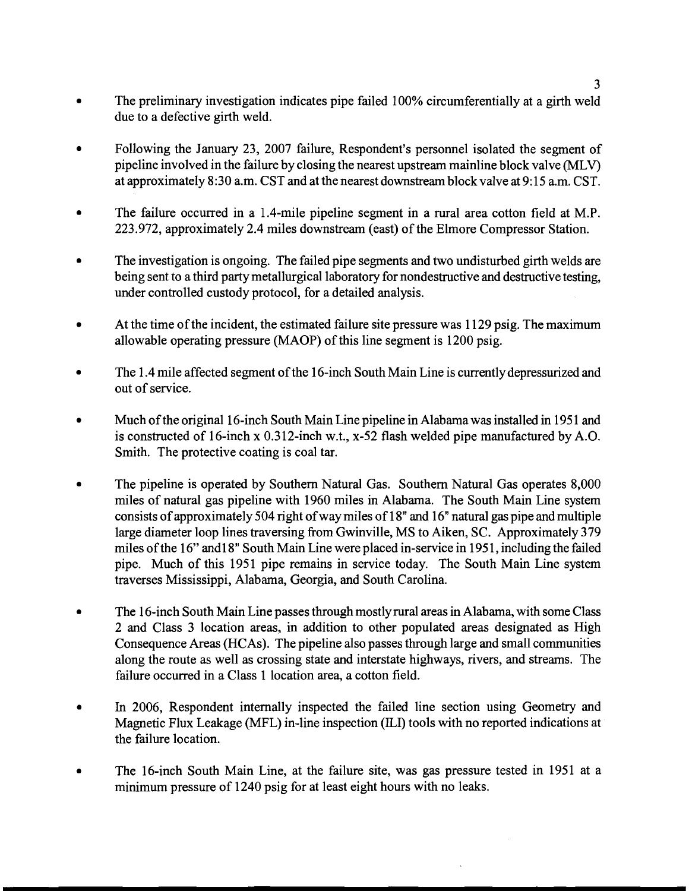- The preliminary investigation indicates pipe failed 100% circumferentially at a girth weld  $\bullet$ due to a defective girth weld.
- Following the January 23, 2007 failure, Respondent's personnel isolated the segment of pipeline involved in the failure by closing the nearest upstream mainline block valve (MLV) at approximately 8:30 a.m. CST and at the nearest downstream block valve at 9: 15 a.m. CST.
- The failure occurred in a 1.4-mile pipeline segment in a rural area cotton field at M.P. 223.972, approximately 2.4 miles downstream (east) of the Elmore Compressor Station.
- $\bullet$ The investigation is ongoing. The failed pipe segments and two undisturbed girth welds are being sent to a third party metallurgical laboratory for nondestructive and destructive testing, under controlled custody protocol, for a detailed analysis.
- At the time of the incident, the estimated failure site pressure was 1 129 psig. The maximum allowable operating pressure (MAOP) of this line segment is 1200 psig.
- The 1.4 mile affected segment of the 16-inch South Main Line is currently depressurized and out of service.
- Much of the original 16-inch South Main Line pipeline in Alabama was installed in 1951 and is constructed of 16-inch x 0.312-inch w.t., x-52 flash welded pipe manufactured by A.O. Smith. The protective coating is coal tar.
- The pipeline is operated by Southern Natural Gas. Southern Natural Gas operates 8,000  $\bullet$ miles of natural gas pipeline with 1960 miles in Alabama. The South Main Line system consists of approximately 504 right of way miles of 18" and 16" natural gas pipe and multiple large diameter loop lines traversing from Gwinville, MS to Aiken, SC. Approximately 379 miles of the 16" and 18" South Main Line were placed in-service in 1951, including the failed pipe. Much of this 1951 pipe remains in service today. The South Main Line system traverses Mississippi, Alabama, Georgia, and South Carolina.
- The 16-inch South Main Line passes through mostly rural areas in Alabama, with some Class  $\bullet$ 2 and Class 3 location areas, in addition to other populated areas designated as High Consequence Areas (HCAs). The pipeline also passes through large and small communities along the route as well as crossing state and interstate highways, rivers, and streams. The failure occurred in a Class 1 location area, a cotton field.
- In 2006, Respondent internally inspected the failed line section using Geometry and Magnetic Flux Leakage (MFL) in-line inspection (ILI) tools with no reported indications at the failure location.
- The 16-inch South Main Line, at the failure site, was gas pressure tested in 1951 at a minimum pressure of 1240 psig for at least eight hours with no leaks.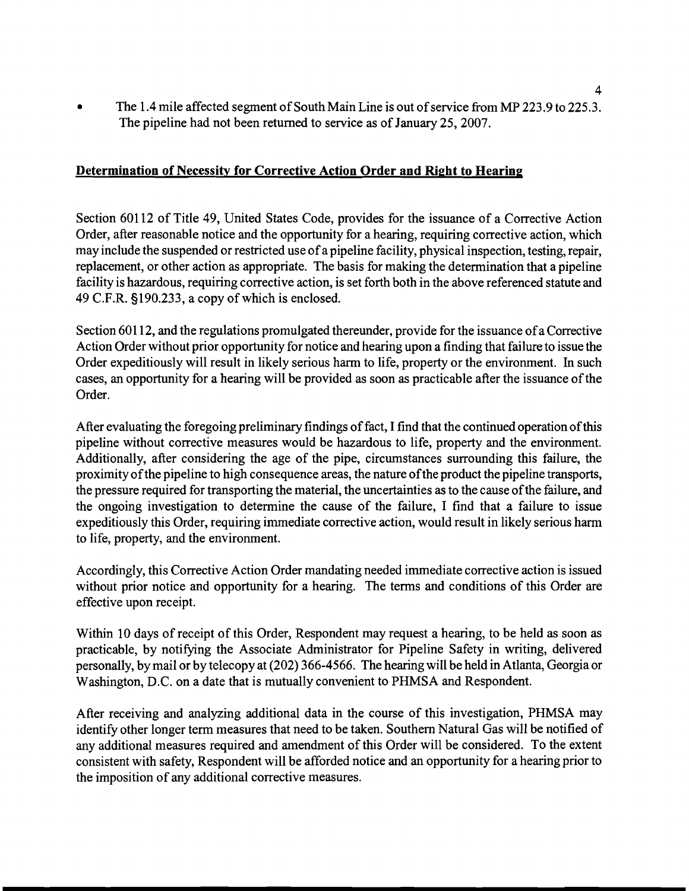$\bullet$ The 1.4 mile affected segment of South Main Line is out of service from MP 223.9 to 225.3. The pipeline had not been returned to service as of January 25,2007.

## **Determination of Necessitv for Corrective Action Order and Right to Hearing**

Section 60112 of Title 49, United States Code, provides for the issuance of a Corrective Action Order, after reasonable notice and the opportunity for a hearing, requiring corrective action, which may include the suspended or restricted use of a pipeline facility, physical inspection, testing, repair, replacement, or other action as appropriate. The basis for making the determination that a pipeline facility is hazardous, requiring corrective action, is set forth both in the above referenced statute and 49 C.F.R. s190.233, a copy of which is enclosed.

Section 60112, and the regulations promulgated thereunder, provide for the issuance of a Corrective Action Order without prior opportunity for notice and hearing upon a finding that failure to issue the Order expeditiously will result in likely serious harm to life, property or the environment. In such cases, an opportunity for a hearing will be provided as soon as practicable after the issuance of the Order.

After evaluating the foregoing preliminary findings of fact, I find that the continued operation of this pipeline without corrective measures would be hazardous to life, property and the environment. Additionally, after considering the age of the pipe, circumstances surrounding this failure, the proximity of the pipeline to high consequence areas, the nature of the product the pipeline transports, the pressure required for transporting the material, the uncertainties as to the cause of the failure, and the ongoing investigation to determine the cause of the failure, I find that a failure to issue expeditiously this Order, requiring immediate corrective action, would result in likely serious harm to life, property, and the environment.

Accordingly, this Corrective Action Order mandating needed immediate corrective action is issued without prior notice and opportunity for a hearing. The terms and conditions of this Order are effective upon receipt.

Within 10 days of receipt of this Order, Respondent may request a hearing, to be held as soon as practicable, by notifying the Associate Administrator for Pipeline Safety in writing, delivered personally, by mail or by telecopyat (202) 366-4566. The hearing will be held in Atlanta,Georgia or Washington, D.C. on a date that is mutually convenient to PHMSA and Respondent.

After receiving and analyzing additional data in the course of this investigation, PHMSA may identify other longer term measures that need to be taken. Southern Natural Gas will be notified of any additional measures required and amendment of this Order will be considered. To the extent consistent with safety, Respondent will be afforded notice and an opportunity for a hearing prior to the imposition of any additional corrective measures.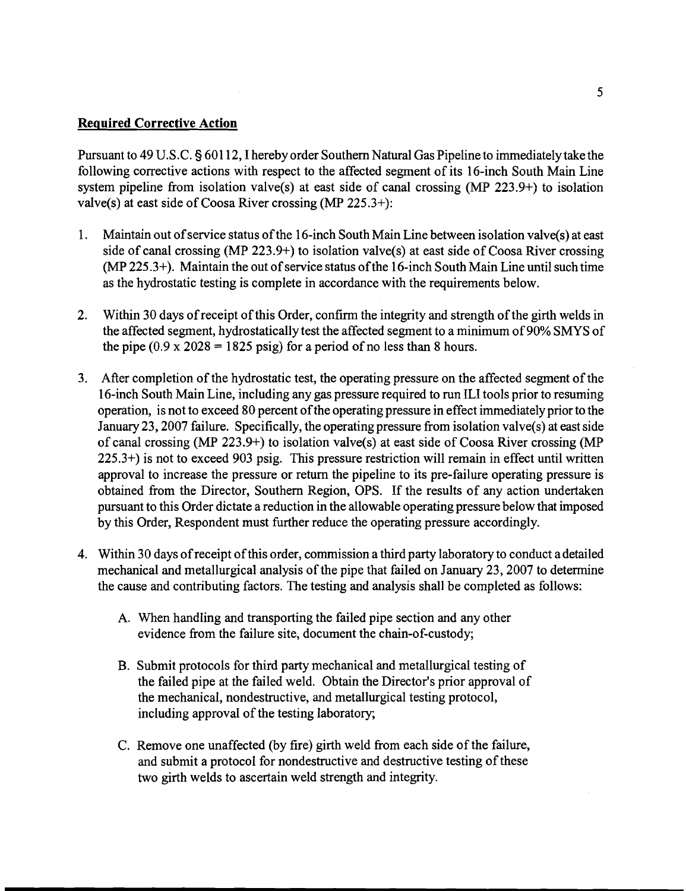#### **Required Corrective Action**

Pursuant to 49 U.S.C. **5**601 12, I hereby order Southern Natural Gas Pipeline to immediately take the following corrective actions with respect to the affected segment of its 16-inch South Main Line system pipeline from isolation valve(s) at east side of canal crossing (MP 223.9+) to isolation valve(s) at east side of Coosa River crossing (MP 225.3+):

- 1. Maintain out of service status of the 16-inch South Main Line between isolation valve(s) at east side of canal crossing (MP 223.9+) to isolation valve(s) at east side of Coosa River crossing (MP 225.3+). Maintain the out of service status of the 16-inch South Main Line until such time as the hydrostatic testing is complete in accordance with the requirements below.
- 2. Within 30 days of receipt of this Order, confirm the integrity and strength of the girth welds in the affected segment, hydrostatically test the affected segment to a minimum of 90% SMYS of the pipe  $(0.9 \times 2028 = 1825 \text{ psig})$  for a period of no less than 8 hours.
- 3. After completion of the hydrostatic test, the operating pressure on the affected segment of the 16-inch South Main Line, including any gas pressure required to run ILI tools prior to resuming operation, is not to exceed 80 percent of the operating pressure in effect immediately prior to the January 23,2007 failure. Specifically, the operating pressure from isolation valve(s) at east side of canal crossing (MP 223.9+) to isolation valve(s) at east side of Coosa River crossing (MP 225.3+) is not to exceed 903 psig. This pressure restriction will remain in effect until written approval to increase the pressure or return the pipeline to its pre-failure operating pressure is obtained from the Director, Southern Region, OPS. If the results of any action undertaken pursuant to this Order dictate a reduction in the allowable operating pressure below that imposed by this Order, Respondent must further reduce the operating pressure accordingly.
- 4. Within 30 days of receipt of this order, commission a third party laboratory to conduct a detailed mechanical and metallurgical analysis of the pipe that failed on January 23,2007 to determine the cause and contributing factors. The testing and analysis shall be completed as follows:
	- A. When handling and transporting the failed pipe section and any other evidence from the failure site, document the chain-of-custody;
	- B. Submit protocols for third party mechanical and metallurgical testing of the failed pipe at the failed weld. Obtain the Director's prior approval of the mechanical, nondestructive, and metallurgical testing protocol, including approval of the testing laboratory;
	- C. Remove one unaffected (by fire) girth weld from each side of the failure, and submit a protocol for nondestructive and destructive testing of these two girth welds to ascertain weld strength and integrity.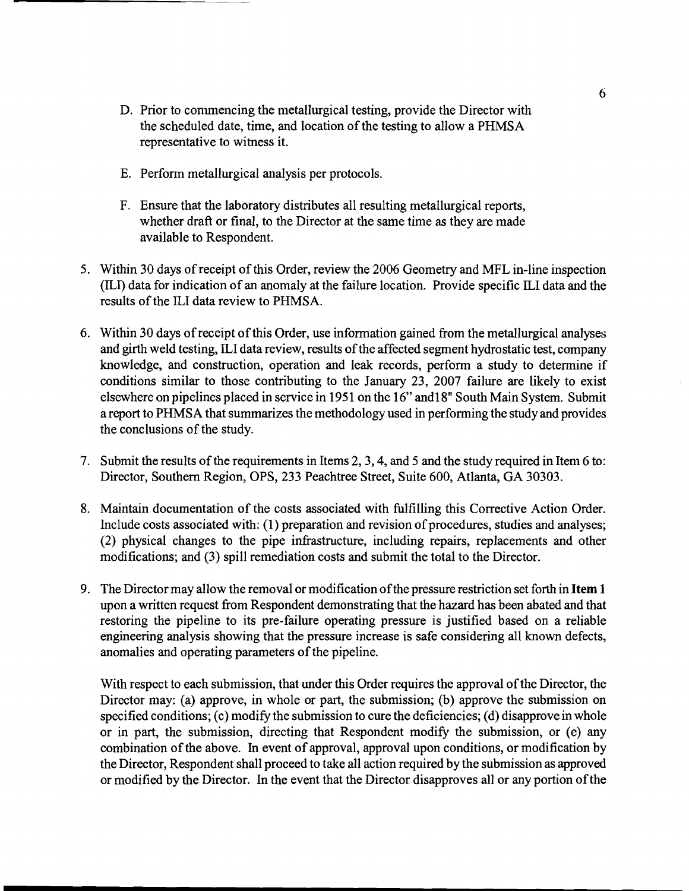- D. Prior to commencing the metallurgical testing, provide the Director with the scheduled date, time, and location of the testing to allow a PHMSA representative to witness it.
- E. Perform metallurgical analysis per protocols.
- F. Ensure that the laboratory distributes all resulting metallurgical reports, whether draft or final, to the Director at the same time as they are made available to Respondent.
- 5. Within 30 days of receipt of this Order, review the 2006 Geometry and MFL in-line inspection (ILI) data for indication of an anomaly at the failure location. Provide specific ILI data and the results of the ILI data review to PHMSA.
- 6. Within 30 days of receipt of this Order, use information gained from the metallurgical analyses and girth weld testing, ILI data review, results of the affected segment hydrostatic test, company knowledge, and construction, operation and leak records, perform a study to determine if conditions similar to those contributing to the January 23, 2007 failure are likely to exist elsewhere on pipelines placed in service in 1951 on the 16" and 18" South Main System. Submit a report to PHMSA that summarizes the methodology used in performing the study and provides the conclusions of the study.
- 7. Submit the results of the requirements in Items 2,3,4, and 5 and the study required in Item 6 to: Director, Southern Region, OPS, 233 Peachtree Street, Suite 600, Atlanta, GA 30303.
- 8. Maintain documentation of the costs associated with fulfilling this Corrective Action Order. Include costs associated with: (1) preparation and revision of procedures, studies and analyses; (2) physical changes to the pipe infiastructure, including repairs, replacements and other modifications; and (3) spill remediation costs and submit the total to the Director.
- 9. The Director may allow the removal or modification of the pressure restriction set forth in **Item 1**  upon a written request from Respondent demonstrating that the hazard has been abated and that restoring the pipeline to its pre-failure operating pressure is justified based on a reliable engineering analysis showing that the pressure increase is safe considering all known defects, anomalies and operating parameters of the pipeline.

With respect to each submission, that under this Order requires the approval of the Director, the Director may: (a) approve, in whole or part, the submission; (b) approve the submission on specified conditions; (c) modify the submission to cure the deficiencies; (d) disapprove in whole or in part, the submission, directing that Respondent modify the submission, or (e) any combination of the above. In event of approval, approval upon conditions, or modification by the Director, Respondent shall proceed to take all action required by the submission as approved or modified by the Director. In the event that the Director disapproves all or any portion of the